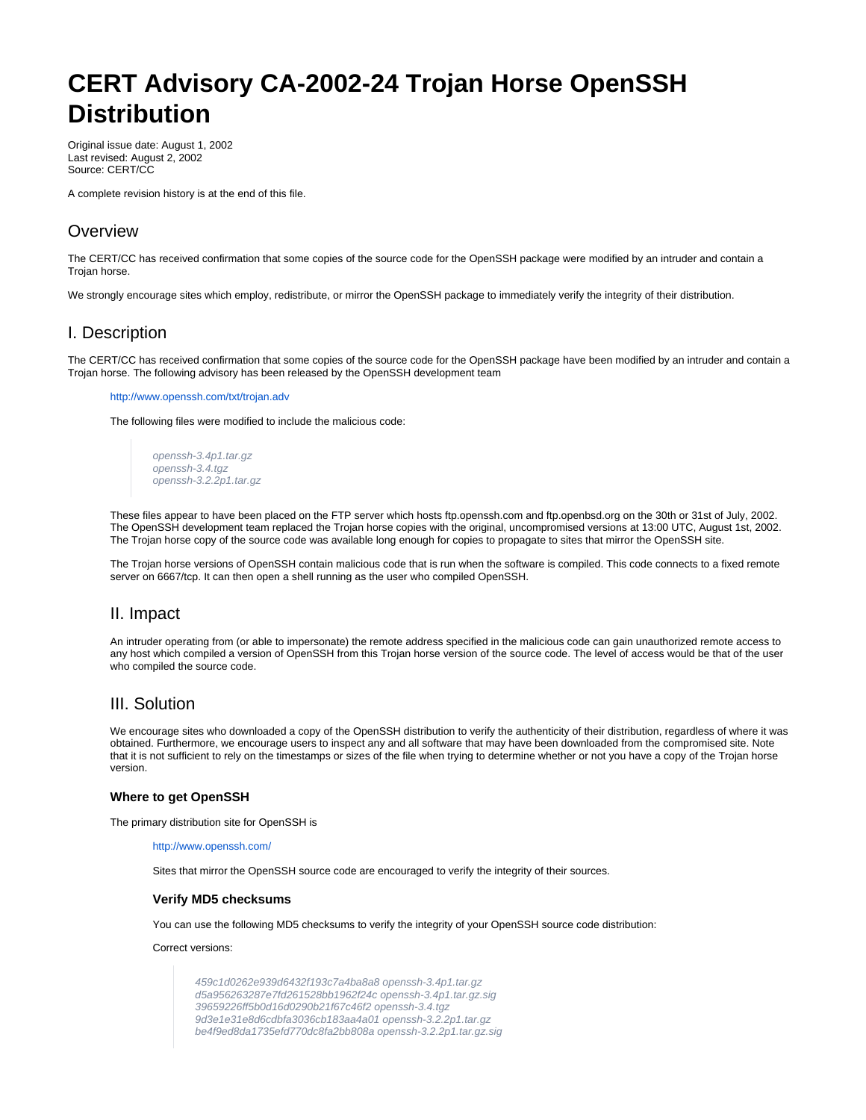# **CERT Advisory CA-2002-24 Trojan Horse OpenSSH Distribution**

Original issue date: August 1, 2002 Last revised: August 2, 2002 Source: CERT/CC

A complete revision history is at the end of this file.

# **Overview**

The CERT/CC has received confirmation that some copies of the source code for the OpenSSH package were modified by an intruder and contain a Trojan horse.

We strongly encourage sites which employ, redistribute, or mirror the OpenSSH package to immediately verify the integrity of their distribution.

# I. Description

The CERT/CC has received confirmation that some copies of the source code for the OpenSSH package have been modified by an intruder and contain a Trojan horse. The following advisory has been released by the OpenSSH development team

#### <http://www.openssh.com/txt/trojan.adv>

The following files were modified to include the malicious code:

```
openssh-3.4p1.tar.gz
openssh-3.4.tgz
openssh-3.2.2p1.tar.gz
```
These files appear to have been placed on the FTP server which hosts ftp.openssh.com and ftp.openbsd.org on the 30th or 31st of July, 2002. The OpenSSH development team replaced the Trojan horse copies with the original, uncompromised versions at 13:00 UTC, August 1st, 2002. The Trojan horse copy of the source code was available long enough for copies to propagate to sites that mirror the OpenSSH site.

The Trojan horse versions of OpenSSH contain malicious code that is run when the software is compiled. This code connects to a fixed remote server on 6667/tcp. It can then open a shell running as the user who compiled OpenSSH.

## II. Impact

An intruder operating from (or able to impersonate) the remote address specified in the malicious code can gain unauthorized remote access to any host which compiled a version of OpenSSH from this Trojan horse version of the source code. The level of access would be that of the user who compiled the source code.

## III. Solution

We encourage sites who downloaded a copy of the OpenSSH distribution to verify the authenticity of their distribution, regardless of where it was obtained. Furthermore, we encourage users to inspect any and all software that may have been downloaded from the compromised site. Note that it is not sufficient to rely on the timestamps or sizes of the file when trying to determine whether or not you have a copy of the Trojan horse version.

#### **Where to get OpenSSH**

The primary distribution site for OpenSSH is

#### <http://www.openssh.com/>

Sites that mirror the OpenSSH source code are encouraged to verify the integrity of their sources.

#### **Verify MD5 checksums**

You can use the following MD5 checksums to verify the integrity of your OpenSSH source code distribution:

Correct versions:

459c1d0262e939d6432f193c7a4ba8a8 openssh-3.4p1.tar.gz d5a956263287e7fd261528bb1962f24c openssh-3.4p1.tar.gz.sig 39659226ff5b0d16d0290b21f67c46f2 openssh-3.4.tgz 9d3e1e31e8d6cdbfa3036cb183aa4a01 openssh-3.2.2p1.tar.gz be4f9ed8da1735efd770dc8fa2bb808a openssh-3.2.2p1.tar.gz.sig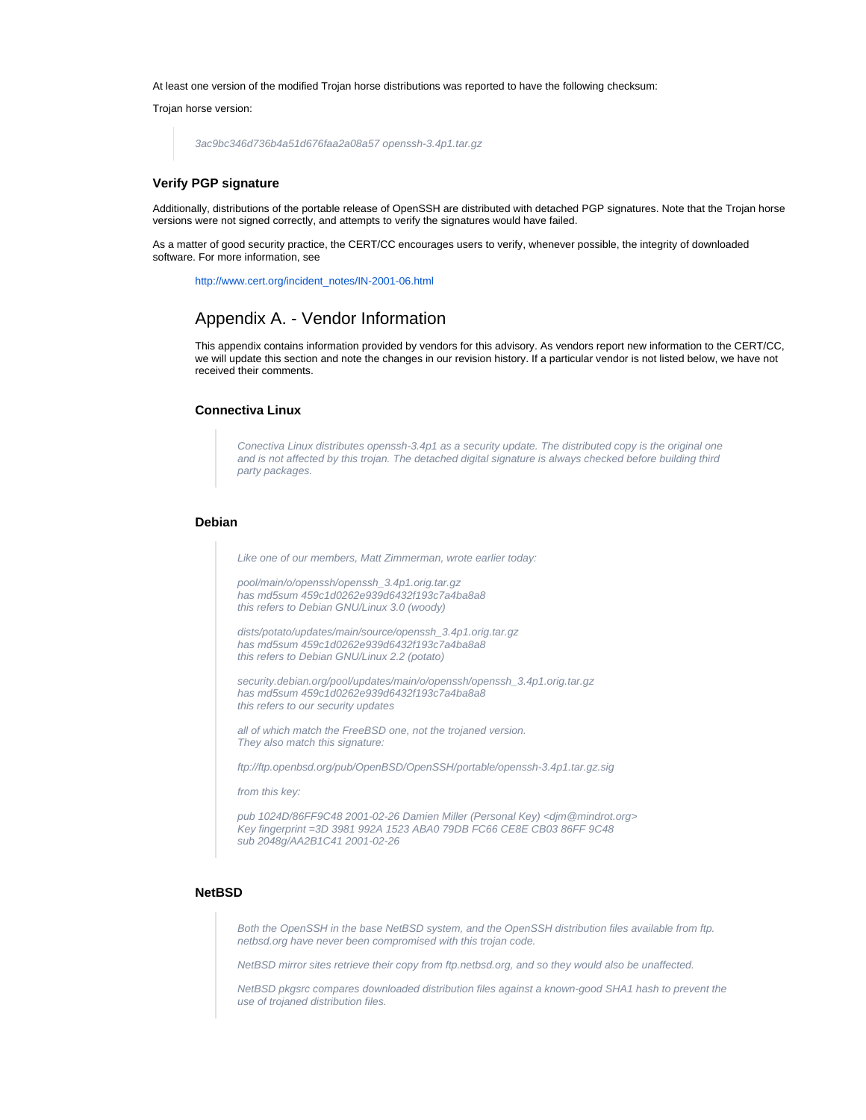At least one version of the modified Trojan horse distributions was reported to have the following checksum:

Trojan horse version:

```
3ac9bc346d736b4a51d676faa2a08a57 openssh-3.4p1.tar.gz
```
#### **Verify PGP signature**

Additionally, distributions of the portable release of OpenSSH are distributed with detached PGP signatures. Note that the Trojan horse versions were not signed correctly, and attempts to verify the signatures would have failed.

As a matter of good security practice, the CERT/CC encourages users to verify, whenever possible, the integrity of downloaded software. For more information, see

[http://www.cert.org/incident\\_notes/IN-2001-06.html](http://www.cert.org/incident_notes/IN-2001-06.html)

# Appendix A. - Vendor Information

This appendix contains information provided by vendors for this advisory. As vendors report new information to the CERT/CC, we will update this section and note the changes in our revision history. If a particular vendor is not listed below, we have not received their comments.

#### **Connectiva Linux**

Conectiva Linux distributes openssh-3.4p1 as a security update. The distributed copy is the original one and is not affected by this trojan. The detached digital signature is always checked before building third party packages.

## **Debian**

Like one of our members, Matt Zimmerman, wrote earlier today:

pool/main/o/openssh/openssh\_3.4p1.orig.tar.gz has md5sum 459c1d0262e939d6432f193c7a4ba8a8 this refers to Debian GNU/Linux 3.0 (woody)

dists/potato/updates/main/source/openssh\_3.4p1.orig.tar.gz has md5sum 459c1d0262e939d6432f193c7a4ba8a8 this refers to Debian GNU/Linux 2.2 (potato)

security.debian.org/pool/updates/main/o/openssh/openssh\_3.4p1.orig.tar.gz has md5sum 459c1d0262e939d6432f193c7a4ba8a8 this refers to our security updates

all of which match the FreeBSD one, not the trojaned version. They also match this signature:

ftp://ftp.openbsd.org/pub/OpenBSD/OpenSSH/portable/openssh-3.4p1.tar.gz.sig

from this key:

pub 1024D/86FF9C48 2001-02-26 Damien Miller (Personal Key) <djm@mindrot.org> Key fingerprint =3D 3981 992A 1523 ABA0 79DB FC66 CE8E CB03 86FF 9C48 sub 2048g/AA2B1C41 2001-02-26

#### **NetBSD**

Both the OpenSSH in the base NetBSD system, and the OpenSSH distribution files available from ftp. netbsd.org have never been compromised with this trojan code.

NetBSD mirror sites retrieve their copy from ftp.netbsd.org, and so they would also be unaffected.

NetBSD pkgsrc compares downloaded distribution files against a known-good SHA1 hash to prevent the use of trojaned distribution files.